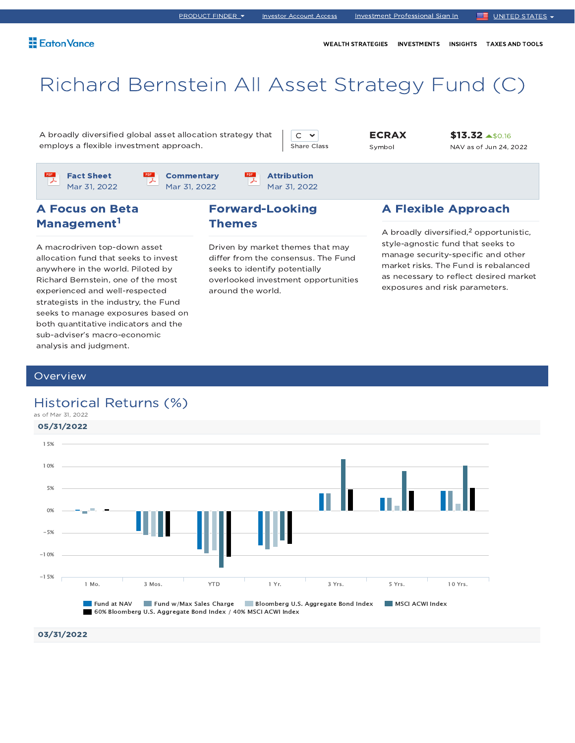WEALTH STRATEGIES INVESTMENTS INSIGHTS TAXES AND TOOLS

# Richard Bernstein All Asset Strategy Fund (C)

A broadly diversified global asset allocation strategy that employs a flexible investment approach.

 $C \times$ Share Class ECRAX Symbol

\$13.32 \$0.16 NAV as of Jun 24, 2022

Fact Sheet Mar 31, 2022

**Commentary** Mar 31, 2022

Attribution Mar 31, 2022

### A Focus on Beta Management<sup>1</sup>

A macrodriven top-down asset allocation fund that seeks to invest anywhere in the world. Piloted by Richard Bernstein, one of the most experienced and well-respected strategists in the industry, the Fund seeks to manage exposures based on both quantitative indicators and the sub-adviser's macro-economic analysis and judgment.

### Forward-Looking Themes

Driven by market themes that may differ from the consensus. The Fund seeks to identify potentially overlooked investment opportunities around the world.

### A Flexible Approach

A broadly diversified, $2$  opportunistic, style-agnostic fund that seeks to manage security-specific and other market risks. The Fund is rebalanced as necessary to reflect desired market exposures and risk parameters.

### **Overview**

### Historical Returns (%)



03/31/2022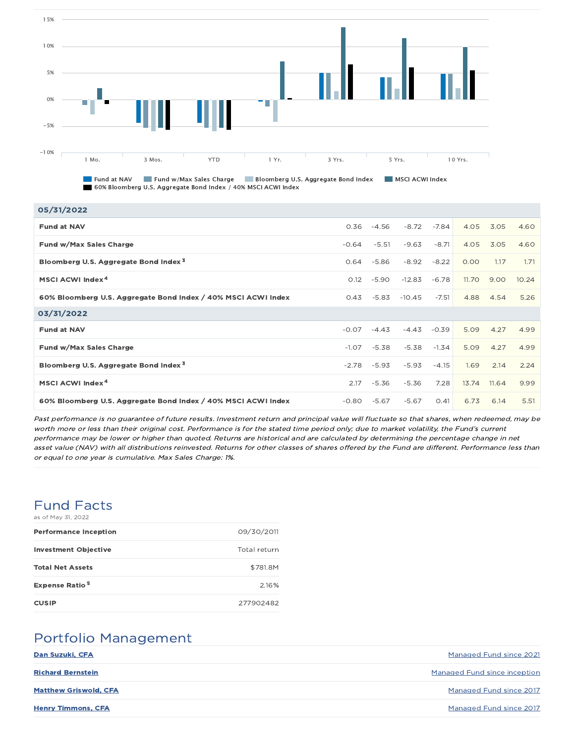

Fund at NAV Fund w/Max Sales Charge Bloomberg U.S. Aggregate Bond Index MSCI ACWI Index 60% Bloomberg U.S. Aggregate Bond Index / 40% MSCI ACWI Index

| 05/31/2022                                                    |         |         |          |         |              |       |       |
|---------------------------------------------------------------|---------|---------|----------|---------|--------------|-------|-------|
| <b>Fund at NAV</b>                                            | 0.36    | $-4.56$ | $-8.72$  | $-7.84$ | 4.05         | 3.05  | 4.60  |
| Fund w/Max Sales Charge                                       | $-0.64$ | $-5.51$ | $-9.63$  | $-8.71$ | 4.05         | 3.05  | 4.60  |
| Bloomberg U.S. Aggregate Bond Index <sup>3</sup>              | 0.64    | $-5.86$ | $-8.92$  | $-8.22$ | 0.00         | 1.17  | 1.71  |
| MSCI ACWI Index <sup>4</sup>                                  | 0.12    | $-5.90$ | $-12.83$ | $-6.78$ | <b>11.70</b> | 9.00  | 10.24 |
| 60% Bloomberg U.S. Aggregate Bond Index / 40% MSCI ACWI Index | 0.43    | $-5.83$ | $-10.45$ | $-7.51$ | 4.88         | 4.54  | 5.26  |
| 03/31/2022                                                    |         |         |          |         |              |       |       |
| <b>Fund at NAV</b>                                            | $-0.07$ | $-4.43$ | $-4.43$  | $-0.39$ | 5.09         | 4.27  | 4.99  |
| Fund w/Max Sales Charge                                       | $-1.07$ | $-5.38$ | $-5.38$  | $-1.34$ | 5.09         | 4.27  | 4.99  |
| Bloomberg U.S. Aggregate Bond Index <sup>3</sup>              | $-2.78$ | $-5.93$ | $-5.93$  | $-4.15$ | 1.69         | 2.14  | 2.24  |
| MSCI ACWI Index <sup>4</sup>                                  | 2.17    | $-5.36$ | $-5.36$  | 7.28    | 13.74        | 11.64 | 9.99  |
| 60% Bloomberg U.S. Aggregate Bond Index / 40% MSCI ACWI Index | $-0.80$ | $-5.67$ | $-5.67$  | 0.41    | 6.73         | 6.14  | 5.51  |

Past performance is no guarantee of future results. Investment return and principal value will fluctuate so that shares, when redeemed, may be worth more or less than their original cost. Performance is for the stated time period only; due to market volatility, the Fund's current performance may be lower or higher than quoted. Returns are historical and are calculated by determining the percentage change in net asset value (NAV) with all distributions reinvested. Returns for other classes of shares offered by the Fund are different. Performance less than or equal to one year is cumulative. Max Sales Charge: 1%.

# Fund Facts

| as of May 31, 2022               |              |
|----------------------------------|--------------|
| <b>Performance Inception</b>     | 09/30/2011   |
| <b>Investment Objective</b>      | Total return |
| <b>Total Net Assets</b>          | \$781.8M     |
| <b>Expense Ratio<sup>5</sup></b> | 2.16%        |
| <b>CUSIP</b>                     | 277902482    |

# Portfolio Management

| Dan Suzuki, CFA              | Managed Fund since 2021             |
|------------------------------|-------------------------------------|
| <b>Richard Bernstein</b>     | <b>Managed Fund since inception</b> |
| <b>Matthew Griswold, CFA</b> | Managed Fund since 2017             |
| <b>Henry Timmons, CFA</b>    | Managed Fund since 2017             |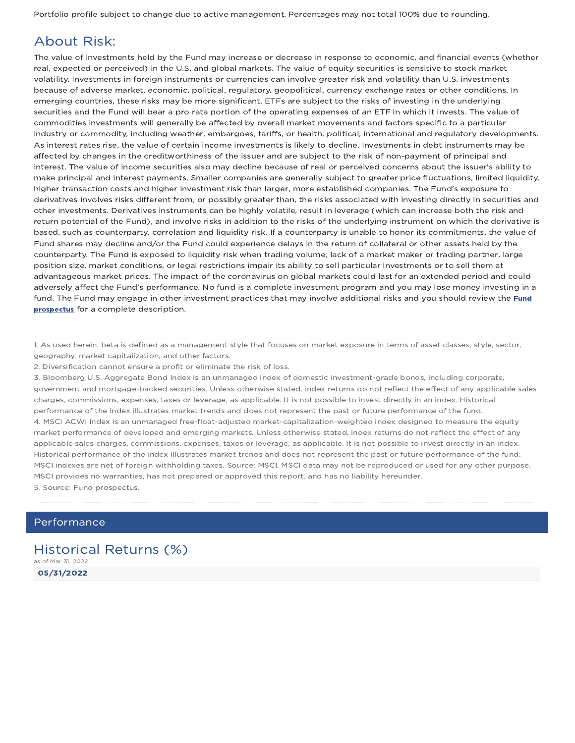Portfolio profile subject to change due to active management. Percentages may not total 100% due to rounding.

### About Risk:

The value of investments held by the Fund may increase or decrease in response to economic, and financial events (whether real, expected or perceived) in the U.S. and global markets. The value of equity securities is sensitive to stock market volatility. Investments in foreign instruments or currencies can involve greater risk and volatility than U.S. investments because of adverse market, economic, political, regulatory, geopolitical, currency exchange rates or other conditions. In emerging countries, these risks may be more significant. ETFs are subject to the risks of investing in the underlying securities and the Fund will bear a pro rata portion of the operating expenses of an ETF in which it invests. The value of commodities investments will generally be affected by overall market movements and factors specific to a particular industry or commodity, including weather, embargoes, tariffs, or health, political, international and regulatory developments. As interest rates rise, the value of certain income investments is likely to decline. Investments in debt instruments may be affected by changes in the creditworthiness of the issuer and are subject to the risk of non-payment of principal and interest. The value of income securities also may decline because of real or perceived concerns about the issuer's ability to make principal and interest payments. Smaller companies are generally subject to greater price fluctuations, limited liquidity, higher transaction costs and higher investment risk than larger, more established companies. The Fund's exposure to derivatives involves risks different from, or possibly greater than, the risks associated with investing directly in securities and other investments. Derivatives instruments can be highly volatile, result in leverage (which can increase both the risk and return potential of the Fund), and involve risks in addition to the risks of the underlying instrument on which the derivative is based, such as counterparty, correlation and liquidity risk. If a counterparty is unable to honor its commitments, the value of Fund shares may decline and/or the Fund could experience delays in the return of collateral or other assets held by the counterparty. The Fund is exposed to liquidity risk when trading volume, lack of a market maker or trading partner, large position size, market conditions, or legal restrictions impair its ability to sell particular investments or to sell them at advantageous market prices. The impact of the coronavirus on global markets could last for an extended period and could adversely affect the Fund's performance. No fund is a complete investment program and you may lose money investing in a fund. The Fund may engage in other investment practices that may involve additional risks and you should review the Fund prospectus for a complete description.

1. As used herein, beta is defined as a management style that focuses on market exposure in terms of asset classes, style, sector, geography, market capitalization, and other factors.

2. Diversification cannot ensure a profit or eliminate the risk of loss.

3. Bloomberg U.S. Aggregate Bond Index is an unmanaged index of domestic investment-grade bonds, including corporate, government and mortgage-backed securities. Unless otherwise stated, index returns do not reflect the effect of any applicable sales charges, commissions, expenses, taxes or leverage, as applicable. It is not possible to invest directly in an index. Historical performance of the index illustrates market trends and does not represent the past or future performance of the fund. 4. MSCI ACWI Index is an unmanaged free-float-adjusted market-capitalization-weighted index designed to measure the equity market performance of developed and emerging markets. Unless otherwise stated, index returns do not reflect the effect of any applicable sales charges, commissions, expenses, taxes or leverage, as applicable. It is not possible to invest directly in an index. Historical performance of the index illustrates market trends and does not represent the past or future performance of the fund. MSCI indexes are net of foreign withholding taxes. Source: MSCI. MSCI data may not be reproduced or used for any other purpose. MSCI provides no warranties, has not prepared or approved this report, and has no liability hereunder. 5. Source: Fund prospectus.

### Performance

05/31/2022 Historical Returns (%) as of Mar 31, 2022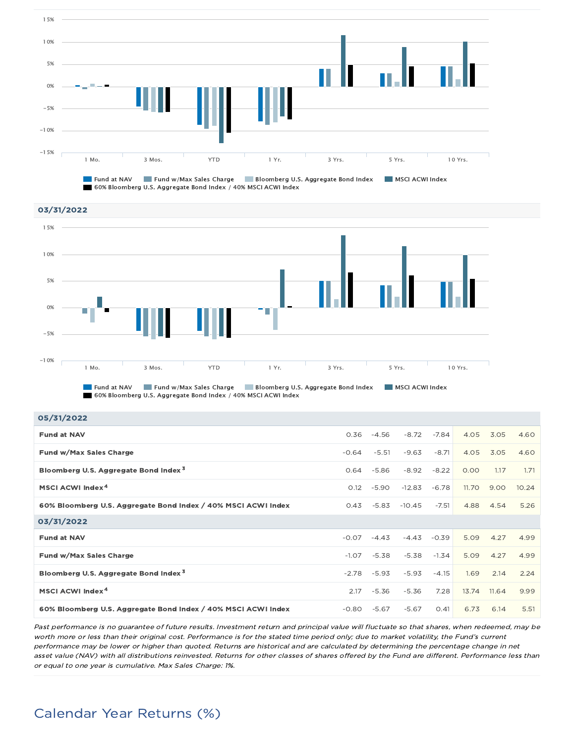

60% Bloomberg U.S. Aggregate Bond Index / 40% MSCI ACWI Index



**Fund at NAV Fund w/Max Sales Charge Full Bloomberg U.S. Aggregate Bond Index** MSCI ACWI Index 60% Bloomberg U.S. Aggregate Bond Index / 40% MSCI ACWI Index

| 05/31/2022                                                    |         |         |          |         |       |       |       |
|---------------------------------------------------------------|---------|---------|----------|---------|-------|-------|-------|
| <b>Fund at NAV</b>                                            | 0.36    | $-4.56$ | $-8.72$  | $-7.84$ | 4.05  | 3.05  | 4.60  |
| Fund w/Max Sales Charge                                       | $-0.64$ | $-5.51$ | $-9.63$  | $-8.71$ | 4.05  | 3.05  | 4.60  |
| Bloomberg U.S. Aggregate Bond Index <sup>3</sup>              | 0.64    | $-5.86$ | $-8.92$  | $-8.22$ | 0.00  | 1.17  | 1.71  |
| MSCI ACWI Index <sup>4</sup>                                  | 0.12    | $-5.90$ | $-12.83$ | $-6.78$ | 11.70 | 9.00  | 10.24 |
| 60% Bloomberg U.S. Aggregate Bond Index / 40% MSCI ACWI Index | 0.43    | $-5.83$ | $-10.45$ | $-7.51$ | 4.88  | 4.54  | 5.26  |
| 03/31/2022                                                    |         |         |          |         |       |       |       |
| <b>Fund at NAV</b>                                            | $-0.07$ | $-4.43$ | $-4.43$  | $-0.39$ | 5.09  | 4.27  | 4.99  |
| Fund w/Max Sales Charge                                       | $-1.07$ | $-5.38$ | $-5.38$  | $-1.34$ | 5.09  | 4.27  | 4.99  |
| Bloomberg U.S. Aggregate Bond Index <sup>3</sup>              | $-2.78$ | $-5.93$ | $-5.93$  | $-4.15$ | 1.69  | 2.14  | 2.24  |
| MSCI ACWI Index <sup>4</sup>                                  | 2.17    | $-5.36$ | $-5.36$  | 7.28    | 13.74 | 11.64 | 9.99  |
| 60% Bloomberg U.S. Aggregate Bond Index / 40% MSCI ACWI Index | $-0.80$ | $-5.67$ | $-5.67$  | O.41    | 6.73  | 6.14  | 5.51  |

Past performance is no guarantee of future results. Investment return and principal value will fluctuate so that shares, when redeemed, may be worth more or less than their original cost. Performance is for the stated time period only; due to market volatility, the Fund's current performance may be lower or higher than quoted. Returns are historical and are calculated by determining the percentage change in net asset value (NAV) with all distributions reinvested. Returns for other classes of shares offered by the Fund are different. Performance less than or equal to one year is cumulative. Max Sales Charge: 1%.

# Calendar Year Returns (%)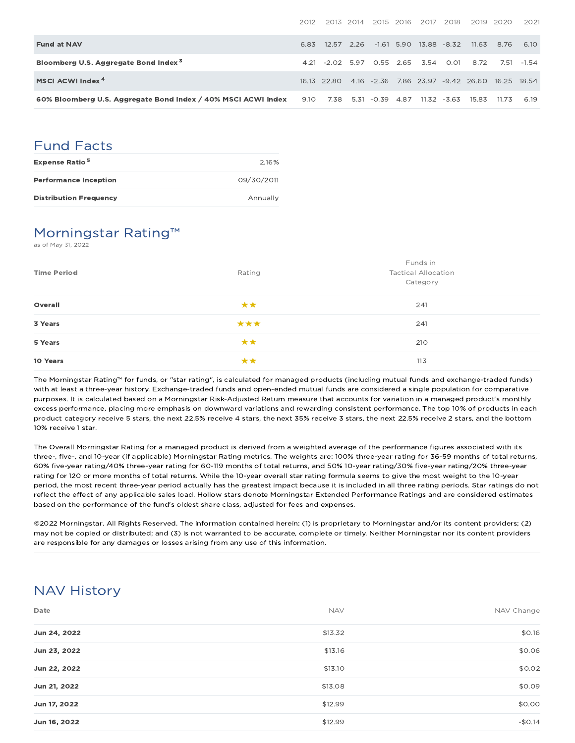|                                                               | 2012 |                 | 2013 2014 2015 2016 | - 2017 - 2018              |       | 2019                                                      | 2020   | 2021    |
|---------------------------------------------------------------|------|-----------------|---------------------|----------------------------|-------|-----------------------------------------------------------|--------|---------|
| <b>Fund at NAV</b>                                            | 6.83 | 12.57 2.26      |                     | $-1.61$ 5.90 13.88 $-8.32$ |       | - 11.63                                                   | 8.76   | 6.10    |
| Bloomberg U.S. Aggregate Bond Index <sup>3</sup>              |      | 4.21 -2.02 5.97 |                     | 0.55 2.65 3.54 0.01        |       | 8.72                                                      | 7.51   | $-1.54$ |
| MSCI ACWI Index <sup>4</sup>                                  |      |                 |                     |                            |       | 16.13 22.80 4.16 -2.36 7.86 23.97 -9.42 26.60 16.25 18.54 |        |         |
| 60% Bloomberg U.S. Aggregate Bond Index / 40% MSCI ACWI Index | 9.10 | 7.38            | 5.31 -0.39 4.87     | 11.32                      | -3.63 | 15.83                                                     | -11.73 | 6.19    |

## Fund Facts

| <b>Expense Ratio<sup>5</sup></b> | 2.16%      |
|----------------------------------|------------|
| <b>Performance Inception</b>     | 09/30/2011 |
| <b>Distribution Frequency</b>    | Annually   |

### Morningstar Rating™

as of May 31, 2022

| <b>Time Period</b> | Rating | Funds in<br><b>Tactical Allocation</b><br>Category |
|--------------------|--------|----------------------------------------------------|
| Overall            | **     | 241                                                |
| 3 Years            | ***    | 241                                                |
| 5 Years            | **     | 210                                                |
| 10 Years           | **     | 113                                                |

The Morningstar Rating™ for funds, or "star rating", is calculated for managed products (including mutual funds and exchange-traded funds) with at least a three-year history. Exchange-traded funds and open-ended mutual funds are considered a single population for comparative purposes. It is calculated based on a Morningstar Risk-Adjusted Return measure that accounts for variation in a managed product's monthly excess performance, placing more emphasis on downward variations and rewarding consistent performance. The top 10% of products in each product category receive 5 stars, the next 22.5% receive 4 stars, the next 35% receive 3 stars, the next 22.5% receive 2 stars, and the bottom 10% receive 1 star.

The Overall Morningstar Rating for a managed product is derived from a weighted average of the performance figures associated with its three-, five-, and 10-year (if applicable) Morningstar Rating metrics. The weights are: 100% three-year rating for 36-59 months of total returns, 60% five-year rating/40% three-year rating for 60-119 months of total returns, and 50% 10-year rating/30% five-year rating/20% three-year rating for 120 or more months of total returns. While the 10-year overall star rating formula seems to give the most weight to the 10-year period, the most recent three-year period actually has the greatest impact because it is included in all three rating periods. Star ratings do not reflect the effect of any applicable sales load. Hollow stars denote Morningstar Extended Performance Ratings and are considered estimates based on the performance of the fund's oldest share class, adjusted for fees and expenses.

©2022 Morningstar. All Rights Reserved. The information contained herein: (1) is proprietary to Morningstar and/or its content providers; (2) may not be copied or distributed; and (3) is not warranted to be accurate, complete or timely. Neither Morningstar nor its content providers are responsible for any damages or losses arising from any use of this information.

### NAV History

| Date         | <b>NAV</b> | NAV Change |
|--------------|------------|------------|
| Jun 24, 2022 | \$13.32    | \$0.16     |
| Jun 23, 2022 | \$13.16    | \$0.06     |
| Jun 22, 2022 | \$13.10    | \$0.02     |
| Jun 21, 2022 | \$13.08    | \$0.09     |
| Jun 17, 2022 | \$12.99    | \$0.00     |
| Jun 16, 2022 | \$12.99    | $-$0.14$   |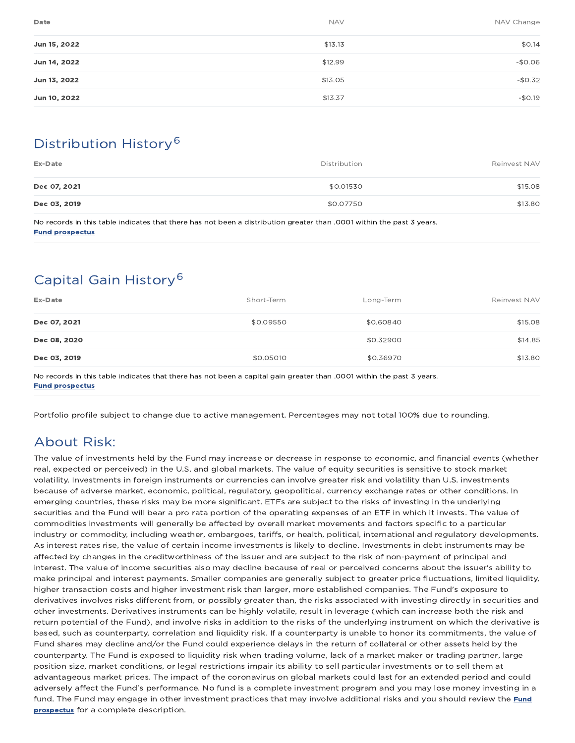| Date         | <b>NAV</b> | NAV Change |
|--------------|------------|------------|
| Jun 15, 2022 | \$13.13    | \$0.14     |
| Jun 14, 2022 | \$12.99    | $-$0.06$   |
| Jun 13, 2022 | \$13.05    | $-$0.32$   |
| Jun 10, 2022 | \$13.37    | $-$0.19$   |

# Distribution History 6

| Ex-Date      | Distribution | Reinvest NAV |
|--------------|--------------|--------------|
| Dec 07, 2021 | \$0.01530    | \$15.08      |
| Dec 03, 2019 | \$0.07750    | \$13.80      |

No records in this table indicates that there has not been a distribution greater than .0001 within the past 3 years. Fund prospectus

# Capital Gain History 6

| Ex-Date      | Short-Term | Long-Term | Reinvest NAV |
|--------------|------------|-----------|--------------|
| Dec 07, 2021 | \$0.09550  | \$0.60840 | \$15.08      |
| Dec 08, 2020 |            | \$0.32900 | \$14.85      |
| Dec 03, 2019 | \$0.05010  | \$0.36970 | \$13.80      |

No records in this table indicates that there has not been a capital gain greater than .0001 within the past 3 years. Fund prospectus

Portfolio profile subject to change due to active management. Percentages may not total 100% due to rounding.

# About Risk:

The value of investments held by the Fund may increase or decrease in response to economic, and financial events (whether real, expected or perceived) in the U.S. and global markets. The value of equity securities is sensitive to stock market volatility. Investments in foreign instruments or currencies can involve greater risk and volatility than U.S. investments because of adverse market, economic, political, regulatory, geopolitical, currency exchange rates or other conditions. In emerging countries, these risks may be more significant. ETFs are subject to the risks of investing in the underlying securities and the Fund will bear a pro rata portion of the operating expenses of an ETF in which it invests. The value of commodities investments will generally be affected by overall market movements and factors specific to a particular industry or commodity, including weather, embargoes, tariffs, or health, political, international and regulatory developments. As interest rates rise, the value of certain income investments is likely to decline. Investments in debt instruments may be affected by changes in the creditworthiness of the issuer and are subject to the risk of non-payment of principal and interest. The value of income securities also may decline because of real or perceived concerns about the issuer's ability to make principal and interest payments. Smaller companies are generally subject to greater price fluctuations, limited liquidity, higher transaction costs and higher investment risk than larger, more established companies. The Fund's exposure to derivatives involves risks different from, or possibly greater than, the risks associated with investing directly in securities and other investments. Derivatives instruments can be highly volatile, result in leverage (which can increase both the risk and return potential of the Fund), and involve risks in addition to the risks of the underlying instrument on which the derivative is based, such as counterparty, correlation and liquidity risk. If a counterparty is unable to honor its commitments, the value of Fund shares may decline and/or the Fund could experience delays in the return of collateral or other assets held by the counterparty. The Fund is exposed to liquidity risk when trading volume, lack of a market maker or trading partner, large position size, market conditions, or legal restrictions impair its ability to sell particular investments or to sell them at advantageous market prices. The impact of the coronavirus on global markets could last for an extended period and could adversely affect the Fund's performance. No fund is a complete investment program and you may lose money investing in a fund. The Fund may engage in other investment practices that may involve additional risks and you should review the **Fund** prospectus for a complete description.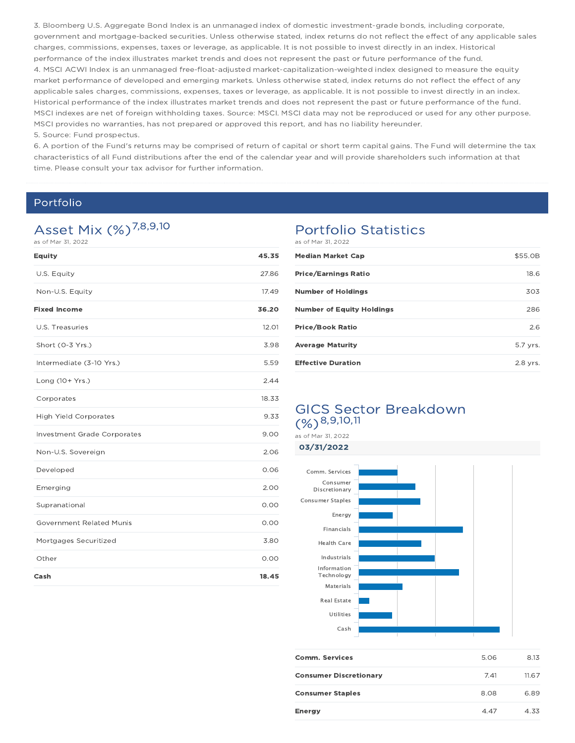3. Bloomberg U.S. Aggregate Bond Index is an unmanaged index of domestic investment-grade bonds, including corporate, government and mortgage-backed securities. Unless otherwise stated, index returns do not reflect the effect of any applicable sales charges, commissions, expenses, taxes or leverage, as applicable. It is not possible to invest directly in an index. Historical performance of the index illustrates market trends and does not represent the past or future performance of the fund. 4. MSCI ACWI Index is an unmanaged free-float-adjusted market-capitalization-weighted index designed to measure the equity market performance of developed and emerging markets. Unless otherwise stated, index returns do not reflect the effect of any applicable sales charges, commissions, expenses, taxes or leverage, as applicable. It is not possible to invest directly in an index. Historical performance of the index illustrates market trends and does not represent the past or future performance of the fund. MSCI indexes are net of foreign withholding taxes. Source: MSCI. MSCI data may not be reproduced or used for any other purpose. MSCI provides no warranties, has not prepared or approved this report, and has no liability hereunder. 5. Source: Fund prospectus.

6. A portion of the Fund's returns may be comprised of return of capital or short term capital gains. The Fund will determine the tax characteristics of all Fund distributions after the end of the calendar year and will provide shareholders such information at that time. Please consult your tax advisor for further information.

### Portfolio

# Asset Mix (%)<sup>7,8,9,10</sup>

as of Mar 31, 2022

| <b>Equity</b>                      | 45.35 |
|------------------------------------|-------|
| U.S. Equity                        | 27.86 |
| Non-U.S. Equity                    | 17.49 |
| <b>Fixed Income</b>                | 36.20 |
| U.S. Treasuries                    | 12.01 |
| Short (0-3 Yrs.)                   | 3.98  |
| Intermediate (3-10 Yrs.)           | 5.59  |
| Long (10+ Yrs.)                    | 2.44  |
| Corporates                         | 18.33 |
| <b>High Yield Corporates</b>       | 9.33  |
| <b>Investment Grade Corporates</b> | 9.00  |
| Non-U.S. Sovereign                 | 2.06  |
| Developed                          | 0.06  |
| Emerging                           | 2.00  |
| Supranational                      | 0.00  |
| <b>Government Related Munis</b>    | 0.00  |
| Mortgages Securitized              | 3.80  |
| Other                              | 0.00  |
| Cash                               | 18.45 |

### Portfolio Statistics

| as of Mar 31, 2022               |          |
|----------------------------------|----------|
| <b>Median Market Cap</b>         | \$55.0B  |
| <b>Price/Earnings Ratio</b>      | 18.6     |
| <b>Number of Holdings</b>        | 303      |
| <b>Number of Equity Holdings</b> | 286      |
| <b>Price/Book Ratio</b>          | 2.6      |
| <b>Average Maturity</b>          | 5.7 yrs. |
| <b>Effective Duration</b>        | 2.8 vrs. |

### GICS Sector Breakdown  $(%)^{8,9,10,11}$

as of Mar 31, 2022



| <b>Comm. Services</b>         | 5.06 | 8.13  |
|-------------------------------|------|-------|
| <b>Consumer Discretionary</b> | 7.41 | 11.67 |
| <b>Consumer Staples</b>       | 8.08 | 6.89  |
| <b>Energy</b>                 | 4.47 | 4.33  |
|                               |      |       |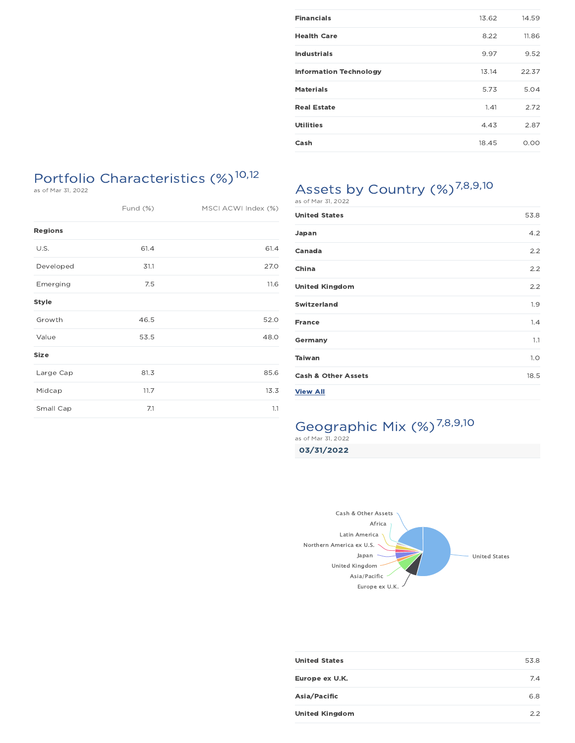| <b>Financials</b>             | 13.62 | 14.59 |
|-------------------------------|-------|-------|
| <b>Health Care</b>            | 8.22  | 11.86 |
| <b>Industrials</b>            | 9.97  | 9.52  |
| <b>Information Technology</b> | 13.14 | 22.37 |
| <b>Materials</b>              | 5.73  | 5.04  |
| <b>Real Estate</b>            | 1.41  | 2.72  |
| <b>Utilities</b>              | 4.43  | 2.87  |
| Cash                          | 18.45 | 0.00  |

# Portfolio Characteristics (%) 10,12

as of Mar 31, 2022

| Fund (%)       |      | MSCI ACWI Index (%) |  |
|----------------|------|---------------------|--|
| <b>Regions</b> |      |                     |  |
| U.S.           | 61.4 | 61.4                |  |
| Developed      | 31.1 | 27.0                |  |
| Emerging       | 7.5  | 11.6                |  |
| <b>Style</b>   |      |                     |  |
| Growth         | 46.5 | 52.0                |  |
| Value          | 53.5 | 48.0                |  |
| Size           |      |                     |  |
| Large Cap      | 81.3 | 85.6                |  |
| Midcap         | 11.7 | 13.3                |  |
| Small Cap      | 7.1  | 1.1                 |  |

# Assets by Country  $(\%)^{7,8,9,10}$  as of Mar 31, 2022

| <b>United States</b>           | 53.8 |
|--------------------------------|------|
| Japan                          | 4.2  |
| Canada                         | 2.2  |
| China                          | 2.2  |
| <b>United Kingdom</b>          | 2.2  |
| <b>Switzerland</b>             | 1.9  |
| <b>France</b>                  | 1.4  |
| Germany                        | 1.1  |
| Taiwan                         | 1.0  |
| <b>Cash &amp; Other Assets</b> | 18.5 |
| <b>View All</b>                |      |

# Geographic Mix (%)<sup>7,8,9,10</sup>

03/31/2022



| <b>United States</b>  | 53.8 |
|-----------------------|------|
| Europe ex U.K.        | 7.4  |
| Asia/Pacific          | 6.8  |
| <b>United Kingdom</b> | 2.2  |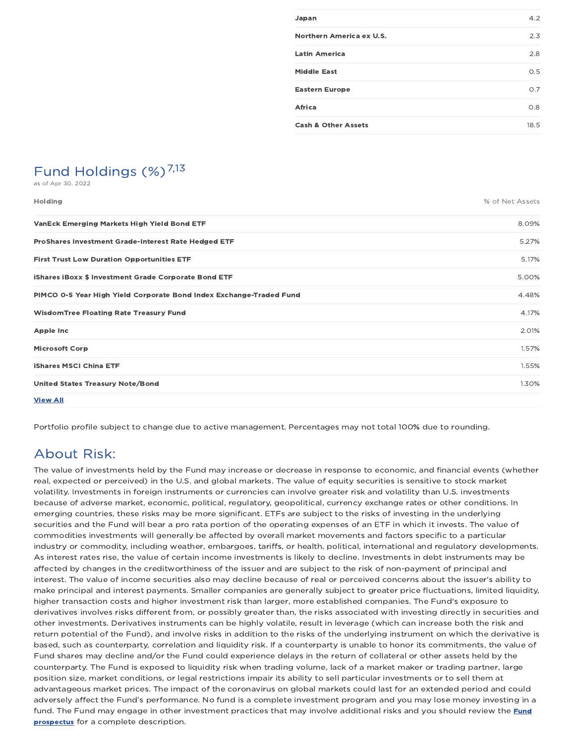| Japan                          | 4.2  |
|--------------------------------|------|
| Northern America ex U.S.       | 2.3  |
| <b>Latin America</b>           | 2.8  |
| <b>Middle East</b>             | 0.5  |
| <b>Eastern Europe</b>          | O.7  |
| Africa                         | 0.8  |
| <b>Cash &amp; Other Assets</b> | 18.5 |

# Fund Holdings  $(\%)^{7,13}$

as of Apr 30, 2022

Holding % of Net Assets

| <b>VanEck Emerging Markets High Yield Bond ETF</b>                  | 8.09% |
|---------------------------------------------------------------------|-------|
| ProShares Investment Grade-Interest Rate Hedged ETF                 | 5.27% |
| <b>First Trust Low Duration Opportunities ETF</b>                   | 5.17% |
| iShares iBoxx \$ Investment Grade Corporate Bond ETF                | 5.00% |
| PIMCO 0-5 Year High Yield Corporate Bond Index Exchange-Traded Fund | 4.48% |
| <b>WisdomTree Floating Rate Treasury Fund</b>                       | 4.17% |
| Apple Inc                                                           | 2.01% |
| <b>Microsoft Corp</b>                                               | 1.57% |
| <b>iShares MSCI China ETF</b>                                       | 1.55% |
| <b>United States Treasury Note/Bond</b>                             | 1.30% |
| <b>View All</b>                                                     |       |

Portfolio profile subject to change due to active management. Percentages may not total 100% due to rounding.

### About Risk:

The value of investments held by the Fund may increase or decrease in response to economic, and financial events (whether real, expected or perceived) in the U.S. and global markets. The value of equity securities is sensitive to stock market volatility. Investments in foreign instruments or currencies can involve greater risk and volatility than U.S. investments because of adverse market, economic, political, regulatory, geopolitical, currency exchange rates or other conditions. In emerging countries, these risks may be more significant. ETFs are subject to the risks of investing in the underlying securities and the Fund will bear a pro rata portion of the operating expenses of an ETF in which it invests. The value of commodities investments will generally be affected by overall market movements and factors specific to a particular industry or commodity, including weather, embargoes, tariffs, or health, political, international and regulatory developments. As interest rates rise, the value of certain income investments is likely to decline. Investments in debt instruments may be affected by changes in the creditworthiness of the issuer and are subject to the risk of non-payment of principal and interest. The value of income securities also may decline because of real or perceived concerns about the issuer's ability to make principal and interest payments. Smaller companies are generally subject to greater price fluctuations, limited liquidity, higher transaction costs and higher investment risk than larger, more established companies. The Fund's exposure to derivatives involves risks different from, or possibly greater than, the risks associated with investing directly in securities and other investments. Derivatives instruments can be highly volatile, result in leverage (which can increase both the risk and return potential of the Fund), and involve risks in addition to the risks of the underlying instrument on which the derivative is based, such as counterparty, correlation and liquidity risk. If a counterparty is unable to honor its commitments, the value of Fund shares may decline and/or the Fund could experience delays in the return of collateral or other assets held by the counterparty. The Fund is exposed to liquidity risk when trading volume, lack of a market maker or trading partner, large position size, market conditions, or legal restrictions impair its ability to sell particular investments or to sell them at advantageous market prices. The impact of the coronavirus on global markets could last for an extended period and could adversely affect the Fund's performance. No fund is a complete investment program and you may lose money investing in a fund. The Fund may engage in other investment practices that may involve additional risks and you should review the Fund prospectus for a complete description.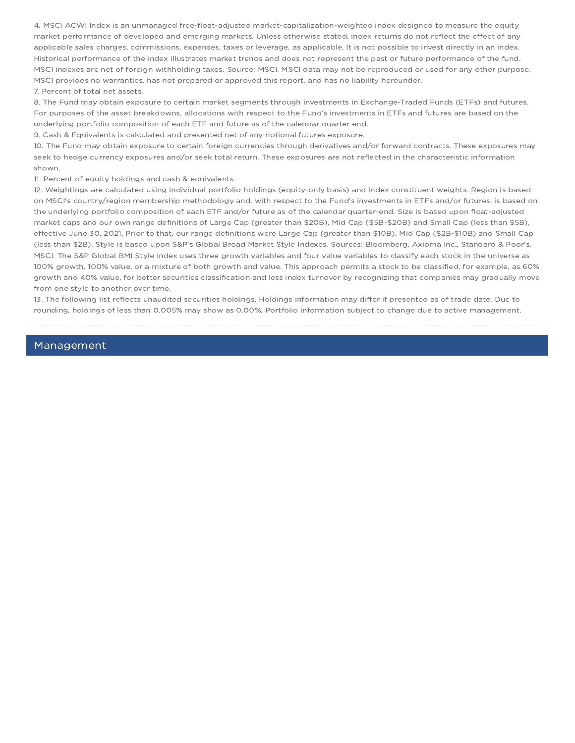4. MSCI ACWI Index is an unmanaged free-float-adjusted market-capitalization-weighted index designed to measure the equity market performance of developed and emerging markets. Unless otherwise stated, index returns do not reflect the effect of any applicable sales charges, commissions, expenses, taxes or leverage, as applicable. It is not possible to invest directly in an index. Historical performance of the index illustrates market trends and does not represent the past or future performance of the fund. MSCI indexes are net of foreign withholding taxes. Source: MSCI. MSCI data may not be reproduced or used for any other purpose. MSCI provides no warranties, has not prepared or approved this report, and has no liability hereunder. 7. Percent of total net assets.

8. The Fund may obtain exposure to certain market segments through investments in Exchange-Traded Funds (ETFs) and futures. For purposes of the asset breakdowns, allocations with respect to the Fund's investments in ETFs and futures are based on the underlying portfolio composition of each ETF and future as of the calendar quarter end.

9. Cash & Equivalents is calculated and presented net of any notional futures exposure.

10. The Fund may obtain exposure to certain foreign currencies through derivatives and/or forward contracts. These exposures may seek to hedge currency exposures and/or seek total return. These exposures are not reflected in the characteristic information shown.

11. Percent of equity holdings and cash & equivalents.

12. Weightings are calculated using individual portfolio holdings (equity-only basis) and index constituent weights. Region is based on MSCI's country/region membership methodology and, with respect to the Fund's investments in ETFs and/or futures, is based on the underlying portfolio composition of each ETF and/or future as of the calendar quarter-end. Size is based upon float-adjusted market caps and our own range definitions of Large Cap (greater than \$20B), Mid Cap (\$5B-\$20B) and Small Cap (less than \$5B), effective June 30, 2021. Prior to that, our range definitions were Large Cap (greater than \$10B), Mid Cap (\$2B-\$10B) and Small Cap (less than \$2B). Style is based upon S&P's Global Broad Market Style Indexes. Sources: Bloomberg, Axioma Inc., Standard & Poor's, MSCI. The S&P Global BMI Style Index uses three growth variables and four value variables to classify each stock in the universe as 100% growth, 100% value, or a mixture of both growth and value. This approach permits a stock to be classified, for example, as 60% growth and 40% value, for better securities classification and less index turnover by recognizing that companies may gradually move from one style to another over time.

13. The following list reflects unaudited securities holdings. Holdings information may differ if presented as of trade date. Due to rounding, holdings of less than 0.005% may show as 0.00%. Portfolio information subject to change due to active management.

### Management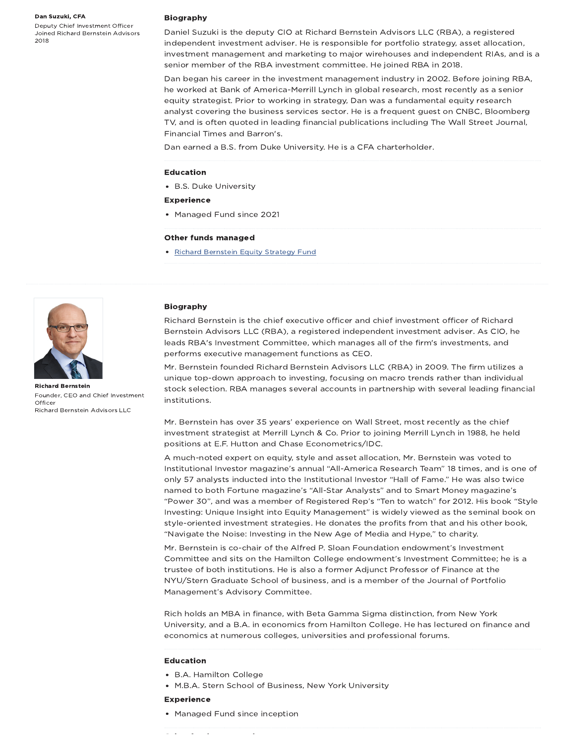#### Dan Suzuki, CFA

Deputy Chief Investment Officer Joined Richard Bernstein Advisors 2018

#### Biography

Daniel Suzuki is the deputy CIO at Richard Bernstein Advisors LLC (RBA), a registered independent investment adviser. He is responsible for portfolio strategy, asset allocation, investment management and marketing to major wirehouses and independent RIAs, and is a senior member of the RBA investment committee. He joined RBA in 2018.

Dan began his career in the investment management industry in 2002. Before joining RBA, he worked at Bank of America-Merrill Lynch in global research, most recently as a senior equity strategist. Prior to working in strategy, Dan was a fundamental equity research analyst covering the business services sector. He is a frequent guest on CNBC, Bloomberg TV, and is often quoted in leading financial publications including The Wall Street Journal, Financial Times and Barron's.

Dan earned a B.S. from Duke University. He is a CFA charterholder.

#### Education

- B.S. Duke University
- Experience
- Managed Fund since 2021

#### Other funds managed

• Richard Bernstein Equity Strategy Fund



Richard Bernstein Founder, CEO and Chief Investment **Officer** Richard Bernstein Advisors LLC

#### Biography

Richard Bernstein is the chief executive officer and chief investment officer of Richard Bernstein Advisors LLC (RBA), a registered independent investment adviser. As CIO, he leads RBA's Investment Committee, which manages all of the firm's investments, and performs executive management functions as CEO.

Mr. Bernstein founded Richard Bernstein Advisors LLC (RBA) in 2009. The firm utilizes a unique top-down approach to investing, focusing on macro trends rather than individual stock selection. RBA manages several accounts in partnership with several leading financial institutions.

Mr. Bernstein has over 35 years' experience on Wall Street, most recently as the chief investment strategist at Merrill Lynch & Co. Prior to joining Merrill Lynch in 1988, he held positions at E.F. Hutton and Chase Econometrics/IDC.

A much-noted expert on equity, style and asset allocation, Mr. Bernstein was voted to Institutional Investor magazine's annual "All-America Research Team" 18 times, and is one of only 57 analysts inducted into the Institutional Investor "Hall of Fame." He was also twice named to both Fortune magazine's "All-Star Analysts" and to Smart Money magazine's "Power 30", and was a member of Registered Rep's "Ten to watch" for 2012. His book "Style Investing: Unique Insight into Equity Management" is widely viewed as the seminal book on style-oriented investment strategies. He donates the profits from that and his other book, "Navigate the Noise: Investing in the New Age of Media and Hype," to charity.

Mr. Bernstein is co-chair of the Alfred P. Sloan Foundation endowment's Investment Committee and sits on the Hamilton College endowment's Investment Committee; he is a trustee of both institutions. He is also a former Adjunct Professor of Finance at the NYU/Stern Graduate School of business, and is a member of the Journal of Portfolio Management's Advisory Committee.

Rich holds an MBA in finance, with Beta Gamma Sigma distinction, from New York University, and a B.A. in economics from Hamilton College. He has lectured on finance and economics at numerous colleges, universities and professional forums.

#### Education

- B.A. Hamilton College
- M.B.A. Stern School of Business, New York University

#### Experience

• Managed Fund since inception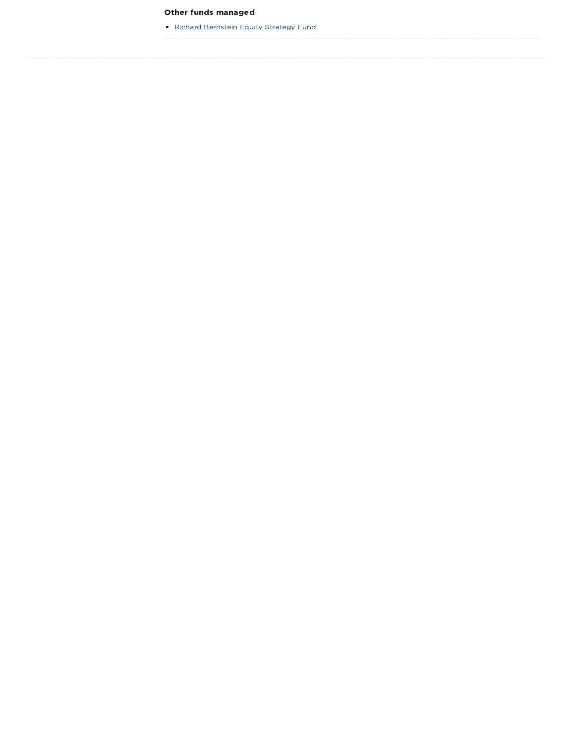### Other funds managed

• Richard Bernstein Equity Strategy Fund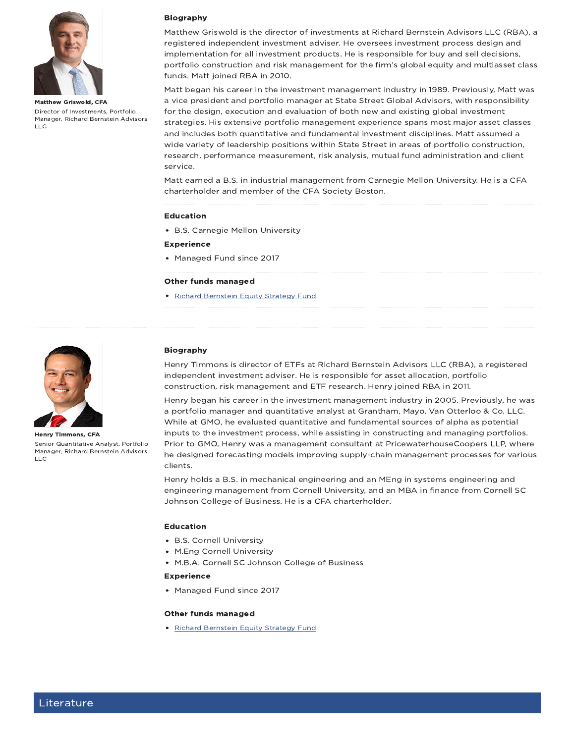

Matthew Griswold, CFA Director of Investments, Portfolio Manager, Richard Bernstein Advisors LLC

### Biography

Matthew Griswold is the director of investments at Richard Bernstein Advisors LLC (RBA), a registered independent investment adviser. He oversees investment process design and implementation for all investment products. He is responsible for buy and sell decisions, portfolio construction and risk management for the firm's global equity and multiasset class funds. Matt joined RBA in 2010.

Matt began his career in the investment management industry in 1989. Previously, Matt was a vice president and portfolio manager at State Street Global Advisors, with responsibility for the design, execution and evaluation of both new and existing global investment strategies. His extensive portfolio management experience spans most major asset classes and includes both quantitative and fundamental investment disciplines. Matt assumed a wide variety of leadership positions within State Street in areas of portfolio construction, research, performance measurement, risk analysis, mutual fund administration and client service.

Matt earned a B.S. in industrial management from Carnegie Mellon University. He is a CFA charterholder and member of the CFA Society Boston.

#### Education

- B.S. Carnegie Mellon University
- Experience
- Managed Fund since 2017

#### Other funds managed

• Richard Bernstein Equity Strategy Fund



Henry Timmons, CFA Senior Quantitative Analyst, Portfolio Manager, Richard Bernstein Advisors  $\overline{L}$ 

### Biography

Henry Timmons is director of ETFs at Richard Bernstein Advisors LLC (RBA), a registered independent investment adviser. He is responsible for asset allocation, portfolio construction, risk management and ETF research. Henry joined RBA in 2011.

Henry began his career in the investment management industry in 2005. Previously, he was a portfolio manager and quantitative analyst at Grantham, Mayo, Van Otterloo & Co. LLC. While at GMO, he evaluated quantitative and fundamental sources of alpha as potential inputs to the investment process, while assisting in constructing and managing portfolios. Prior to GMO, Henry was a management consultant at PricewaterhouseCoopers LLP, where he designed forecasting models improving supply-chain management processes for various clients.

Henry holds a B.S. in mechanical engineering and an MEng in systems engineering and engineering management from Cornell University, and an MBA in finance from Cornell SC Johnson College of Business. He is a CFA charterholder.

#### Education

- B.S. Cornell University
- M.Eng Cornell University
- M.B.A. Cornell SC Johnson College of Business

#### Experience

• Managed Fund since 2017

#### Other funds managed

• Richard Bernstein Equity Strategy Fund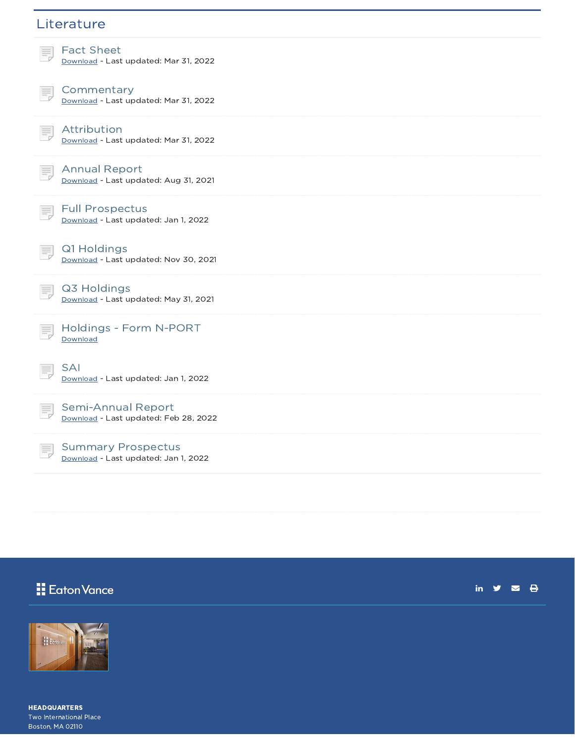### **Literature**



Download - Last updated: Mar 31, 2022

**Commentary** Download - Last updated: Mar 31, 2022

Attribution Download - Last updated: Mar 31, 2022



Download - Last updated: Aug 31, 2021

Full Prospectus Download - Last updated: Jan 1, 2022

Q1 Holdings Download - Last updated: Nov 30, 2021



E,

Q3 Holdings Download - Last updated: May 31, 2021



Download - Last updated: Jan 1, 2022

Semi-Annual Report Download - Last updated: Feb 28, 2022

Summary Prospectus Download - Last updated: Jan 1, 2022

### Eaton Vance

in  $y = 0$ 



HEADQUARTERS Two International Place Boston, MA 02110